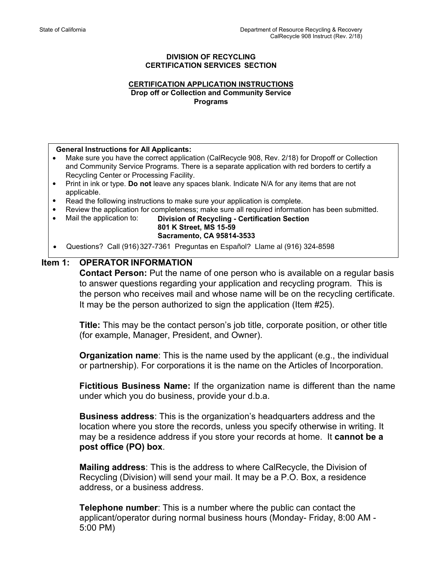#### **DIVISION OF RECYCLING CERTIFICATION SERVICES SECTION**

#### **CERTIFICATION APPLICATION INSTRUCTIONS Drop off or Collection and Community Service Programs**

#### **General Instructions for All Applicants:**

- Make sure you have the correct application (CalRecycle 908, Rev. 2/18) for Dropoff or Collection and Community Service Programs. There is a separate application with red borders to certify a Recycling Center or Processing Facility.
- Print in ink or type. **Do not** leave any spaces blank. Indicate N/A for any items that are not applicable.
- Read the following instructions to make sure your application is complete.
- Review the application for completeness; make sure all required information has been submitted.
- - Mail the application to: **Division of Recycling Certification Section 801 K Street, MS 15-59 Sacramento, CA 95814-3533**
- Questions? Call (916) 327-7361 Preguntas en Español? Llame al (916) 324-8598

# **Item 1: OPERATOR INFORMATION**

**Contact Person:** Put the name of one person who is available on a regular basis to answer questions regarding your application and recycling program. This is the person who receives mail and whose name will be on the recycling certificate. It may be the person authorized to sign the application (Item #25).

**Title:** This may be the contact person's job title, corporate position, or other title (for example, Manager, President, and Owner).

**Organization name**: This is the name used by the applicant (e.g., the individual or partnership). For corporations it is the name on the Articles of Incorporation.

**Fictitious Business Name:** If the organization name is different than the name under which you do business, provide your d.b.a.

**Business address**: This is the organization's headquarters address and the location where you store the records, unless you specify otherwise in writing. It may be a residence address if you store your records at home. It **cannot be a post office (PO) box**.

**Mailing address**: This is the address to where CalRecycle, the Division of Recycling (Division) will send your mail. It may be a P.O. Box, a residence address, or a business address.

**Telephone number**: This is a number where the public can contact the applicant/operator during normal business hours (Monday- Friday, 8:00 AM - 5:00 PM)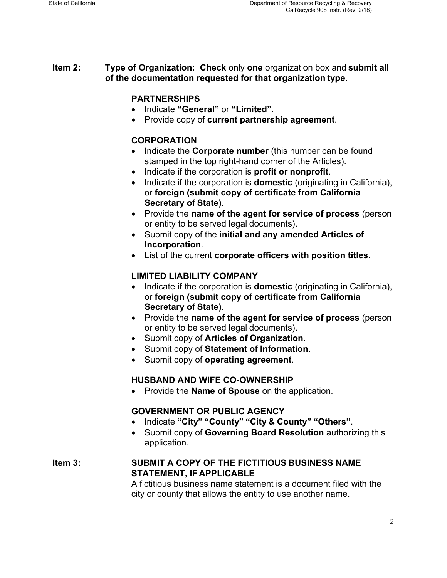**Item 2: Type of Organization: Check** only **one** organization box and **submit all of the documentation requested for that organization type**.

## **PARTNERSHIPS**

- Indicate **"General"** or **"Limited"**.
- Provide copy of **current partnership agreement**.

# **CORPORATION**

- Indicate the **Corporate number** (this number can be found stamped in the top right-hand corner of the Articles).
- Indicate if the corporation is **profit or nonprofit**.
- Indicate if the corporation is **domestic** (originating in California), or **foreign (submit copy of certificate from California Secretary of State)**.
- Provide the **name of the agent for service of process** (person or entity to be served legal documents).
- Submit copy of the **initial and any amended Articles of Incorporation**.
- List of the current **corporate officers with position titles**.

## **LIMITED LIABILITY COMPANY**

- Indicate if the corporation is **domestic** (originating in California), or **foreign (submit copy of certificate from California Secretary of State)**.
- Provide the **name of the agent for service of process** (person or entity to be served legal documents).
- Submit copy of **Articles of Organization**.
- Submit copy of **Statement of Information**.
- Submit copy of **operating agreement**.

## **HUSBAND AND WIFE CO-OWNERSHIP**

Provide the **Name of Spouse** on the application.

## **GOVERNMENT OR PUBLIC AGENCY**

- Indicate **"City" "County" "City & County" "Others"**.
- Submit copy of **Governing Board Resolution** authorizing this application.

**Item 3: SUBMIT A COPY OF THE FICTITIOUS BUSINESS NAME STATEMENT, IF APPLICABLE** 

A fictitious business name statement is a document filed with the city or county that allows the entity to use another name.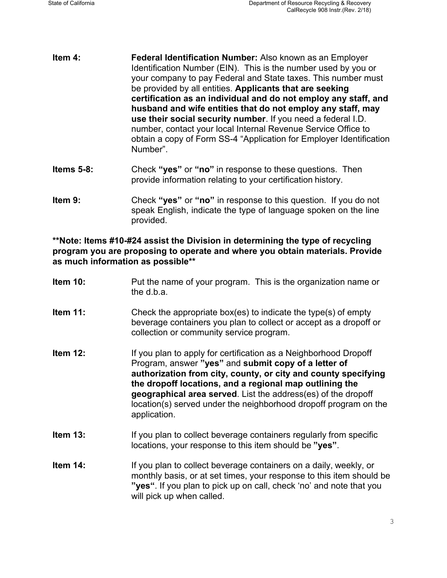- Identification Number (EIN). This is the number used by you or **Item 4: Federal Identification Number:** Also known as an Employer your company to pay Federal and State taxes. This number must be provided by all entities. **Applicants that are seeking certification as an individual and do not employ any staff, and husband and wife entities that do not employ any staff, may use their social security number**. If you need a federal I.D. number, contact your local Internal Revenue Service Office to obtain a copy of Form SS-4 "Application for Employer Identification Number".
- **Items 5-8:** Check **"yes"** or **"no"** in response to these questions. Then provide information relating to your certification history.
- speak English, indicate the type of language spoken on the line **Item 9:** Check "**yes**" or "no" in response to this question. If you do not provided.

**\*\* as much information as possible \*\*Note: Items #10-#24 assist the Division in determining the type of recycling program you are proposing to operate and where you obtain materials. Provide** 

- **Item 12:** If you plan to apply for certification as a Neighborhood Dropoff **Item 10:** Put the name of your program. This is the organization name or the d.b.a. **Item 11:** Check the appropriate box(es) to indicate the type(s) of empty beverage containers you plan to collect or accept as a dropoff or collection or community service program. Program, answer **"yes"** and **submit copy of a letter of authorization from city, county, or city and county specifying** 
	- **the dropoff locations, and a regional map outlining the geographical area served**. List the address(es) of the dropoff location(s) served under the neighborhood dropoff program on the application.
- **Item 13:** If you plan to collect beverage containers regularly from specific locations, your response to this item should be **"yes"**.
- **Item 14:** If you plan to collect beverage containers on a daily, weekly, or monthly basis, or at set times, your response to this item should be **"yes"**. If you plan to pick up on call, check 'no' and note that you will pick up when called.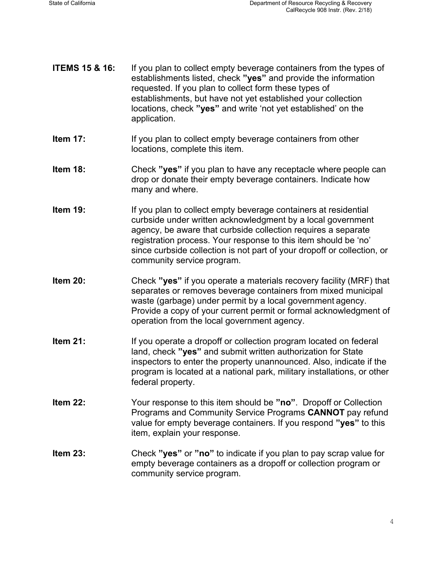- **ITEMS 15 & 16:** If you plan to collect empty beverage containers from the types of establishments listed, check **"yes"** and provide the information requested. If you plan to collect form these types of establishments, but have not yet established your collection locations, check **"yes"** and write 'not yet established' on the application.
- **Item 17:** If you plan to collect empty beverage containers from other locations, complete this item.
- **Item 18:** Check "yes" if you plan to have any receptacle where people can drop or donate their empty beverage containers. Indicate how many and where.
- **Item 19:** If you plan to collect empty beverage containers at residential curbside under written acknowledgment by a local government agency, be aware that curbside collection requires a separate registration process. Your response to this item should be 'no' since curbside collection is not part of your dropoff or collection, or community service program.
- **Item 20:** Check "yes" if you operate a materials recovery facility (MRF) that separates or removes beverage containers from mixed municipal waste (garbage) under permit by a local government agency. Provide a copy of your current permit or formal acknowledgment of operation from the local government agency.
- **Item 21:** If you operate a dropoff or collection program located on federal land, check **"yes"** and submit written authorization for State inspectors to enter the property unannounced. Also, indicate if the program is located at a national park, military installations, or other federal property.
- **Item 22:** Your response to this item should be **"no"**. Dropoff or Collection Programs and Community Service Programs **CANNOT** pay refund value for empty beverage containers. If you respond **"yes"** to this item, explain your response.
- **Item 23:** Check **"yes"** or **"no"** to indicate if you plan to pay scrap value for empty beverage containers as a dropoff or collection program or community service program.